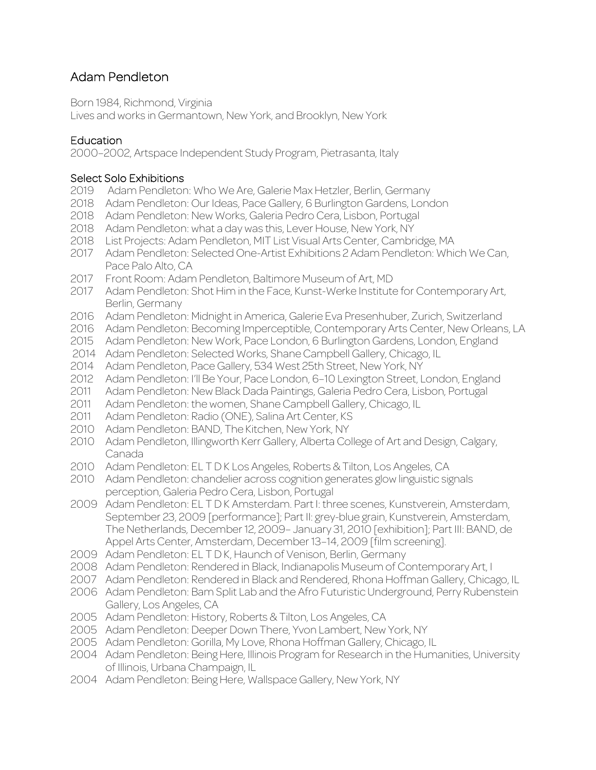# Adam Pendleton

Born 1984, Richmond, Virginia

Lives and works in Germantown, New York, and Brooklyn, New York

# **Education**

2000–2002, Artspace Independent Study Program, Pietrasanta, Italy

#### Select Solo Exhibitions

- Adam Pendleton: Who We Are, Galerie Max Hetzler, Berlin, Germany
- 2018 Adam Pendleton: Our Ideas, Pace Gallery, 6 Burlington Gardens, London
- Adam Pendleton: New Works, Galeria Pedro Cera, Lisbon, Portugal
- Adam Pendleton: what a day was this, Lever House, New York, NY
- List Projects: Adam Pendleton, MIT List Visual Arts Center, Cambridge, MA
- Adam Pendleton: Selected One-Artist Exhibitions 2 Adam Pendleton: Which We Can, Pace Palo Alto, CA
- Front Room: Adam Pendleton, Baltimore Museum of Art, MD
- Adam Pendleton: Shot Him in the Face, Kunst-Werke Institute for Contemporary Art, Berlin, Germany
- Adam Pendleton: Midnight in America, Galerie Eva Presenhuber, Zurich, Switzerland
- Adam Pendleton: Becoming Imperceptible, Contemporary Arts Center, New Orleans, LA
- Adam Pendleton: New Work, Pace London, 6 Burlington Gardens, London, England
- Adam Pendleton: Selected Works, Shane Campbell Gallery, Chicago, IL
- Adam Pendleton, Pace Gallery, 534 West 25th Street, New York, NY
- Adam Pendleton: I'll Be Your, Pace London, 6–10 Lexington Street, London, England
- Adam Pendleton: New Black Dada Paintings, Galeria Pedro Cera, Lisbon, Portugal
- Adam Pendleton: the women, Shane Campbell Gallery, Chicago, IL
- Adam Pendleton: Radio (ONE), Salina Art Center, KS
- Adam Pendleton: BAND, The Kitchen, New York, NY
- Adam Pendleton, Illingworth Kerr Gallery, Alberta College of Art and Design, Calgary, Canada
- Adam Pendleton: EL T D K Los Angeles, Roberts & Tilton, Los Angeles, CA
- Adam Pendleton: chandelier across cognition generates glow linguistic signals perception, Galeria Pedro Cera, Lisbon, Portugal
- Adam Pendleton: EL T D K Amsterdam. Part I: three scenes, Kunstverein, Amsterdam, September 23, 2009 [performance]; Part II: grey-blue grain, Kunstverein, Amsterdam, The Netherlands, December 12, 2009– January 31, 2010 [exhibition]; Part III: BAND, de Appel Arts Center, Amsterdam, December 13–14, 2009 [film screening].
- Adam Pendleton: EL T D K, Haunch of Venison, Berlin, Germany
- Adam Pendleton: Rendered in Black, Indianapolis Museum of Contemporary Art, I
- 2007 Adam Pendleton: Rendered in Black and Rendered, Rhona Hoffman Gallery, Chicago, IL
- Adam Pendleton: Bam Split Lab and the Afro Futuristic Underground, Perry Rubenstein Gallery, Los Angeles, CA
- Adam Pendleton: History, Roberts & Tilton, Los Angeles, CA
- Adam Pendleton: Deeper Down There, Yvon Lambert, New York, NY
- Adam Pendleton: Gorilla, My Love, Rhona Hoffman Gallery, Chicago, IL
- Adam Pendleton: Being Here, Illinois Program for Research in the Humanities, University of Illinois, Urbana Champaign, IL
- Adam Pendleton: Being Here, Wallspace Gallery, New York, NY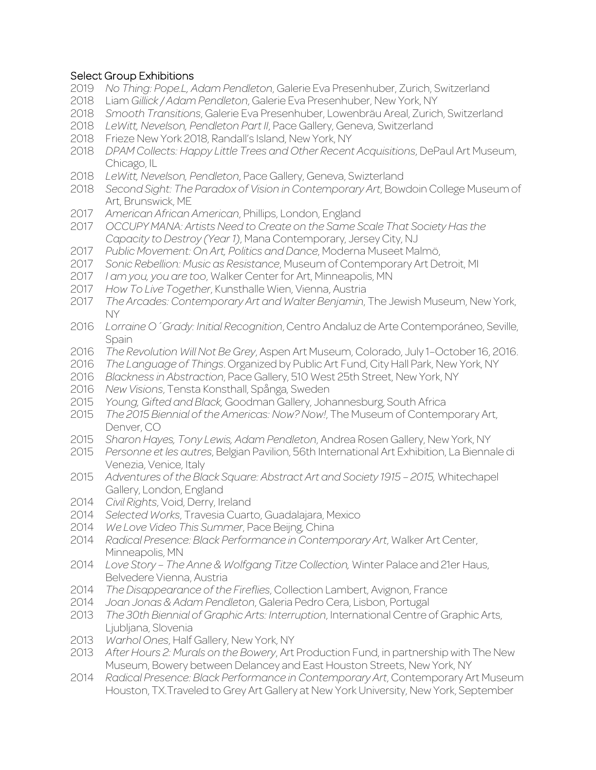# Select Group Exhibitions

- *No Thing: Pope.L, Adam Pendleton*, Galerie Eva Presenhuber, Zurich, Switzerland
- Liam *Gillick / Adam Pendleton*, Galerie Eva Presenhuber, New York, NY
- *Smooth Transitions*, Galerie Eva Presenhuber, Lowenbräu Areal, Zurich, Switzerland
- *LeWitt, Nevelson, Pendleton Part II*, Pace Gallery, Geneva, Switzerland
- Frieze New York 2018, Randall's Island, New York, NY
- *DPAM Collects: Happy Little Trees and Other Recent Acquisitions*, DePaul Art Museum, Chicago, IL
- *LeWitt, Nevelson, Pendleton*, Pace Gallery, Geneva, Swizterland
- *Second Sight: The Paradox of Vision in Contemporary Art*, Bowdoin College Museum of Art, Brunswick, ME
- *American African American*, Phillips, London, England
- *OCCUPY MANA: Artists Need to Create on the Same Scale That Society Has the Capacity to Destroy (Year 1)*, Mana Contemporary, Jersey City, NJ
- *Public Movement: On Art, Politics and Dance*, Moderna Museet Malmö,
- *Sonic Rebellion: Music as Resistance*, Museum of Contemporary Art Detroit, MI
- *I am you, you are too*, Walker Center for Art, Minneapolis, MN
- *How To Live Together*, Kunsthalle Wien, Vienna, Austria
- *The Arcades: Contemporary Art and Walter Benjamin*, The Jewish Museum, New York, NY
- *Lorraine O´Grady: Initial Recognition*, Centro Andaluz de Arte Contemporáneo, Seville, Spain
- *The Revolution Will Not Be Grey*, Aspen Art Museum, Colorado, July 1–October 16, 2016.
- *The Language of Things*. Organized by Public Art Fund, City Hall Park, New York, NY
- *Blackness in Abstraction*, Pace Gallery, 510 West 25th Street, New York, NY
- *New Visions*, Tensta Konsthall, Spånga, Sweden
- *Young, Gifted and Black,* Goodman Gallery, Johannesburg, South Africa
- *The 2015 Biennial of the Americas: Now? Now!*, The Museum of Contemporary Art, Denver, CO
- *Sharon Hayes, Tony Lewis, Adam Pendleton*, Andrea Rosen Gallery, New York, NY
- *Personne et les autres*, Belgian Pavilion, 56th International Art Exhibition, La Biennale di Venezia, Venice, Italy
- *Adventures of the Black Square: Abstract Art and Society 1915 – 2015,* Whitechapel Gallery, London, England
- *Civil Rights*, Void, Derry, Ireland
- *Selected Works*, Travesia Cuarto, Guadalajara, Mexico
- *We Love Video This Summer*, Pace Beijng, China
- *Radical Presence: Black Performance in Contemporary Art*, Walker Art Center, Minneapolis, MN
- *Love Story – The Anne & Wolfgang Titze Collection,* Winter Palace and 21er Haus, Belvedere Vienna, Austria
- *The Disappearance of the Fireflies*, Collection Lambert, Avignon, France
- *Joan Jonas & Adam Pendleton*, Galeria Pedro Cera, Lisbon, Portugal
- *The 30th Biennial of Graphic Arts: Interruption*, International Centre of Graphic Arts, Ljubljana, Slovenia
- *Warhol Ones*, Half Gallery, New York, NY
- *After Hours 2: Murals on the Bowery*, Art Production Fund, in partnership with The New Museum, Bowery between Delancey and East Houston Streets, New York, NY
- *Radical Presence: Black Performance in Contemporary Art*, Contemporary Art Museum Houston, TX.Traveled to Grey Art Gallery at New York University, New York, September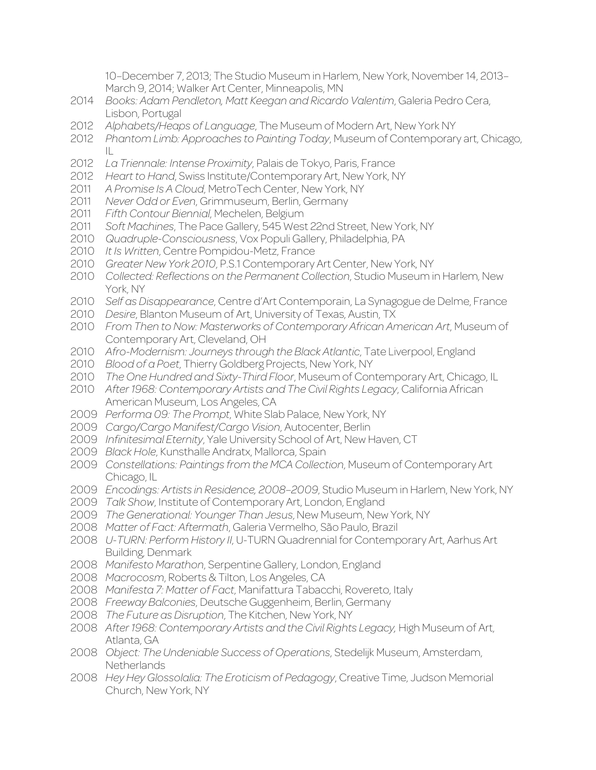10–December 7, 2013; The Studio Museum in Harlem, New York, November 14, 2013– March 9, 2014; Walker Art Center, Minneapolis, MN

- *Books: Adam Pendleton, Matt Keegan and Ricardo Valentim*, Galeria Pedro Cera, Lisbon, Portugal
- *Alphabets/Heaps of Language*, The Museum of Modern Art, New York NY
- *Phantom Limb: Approaches to Painting Today*, Museum of Contemporary art, Chicago, IL
- *La Triennale: Intense Proximity*, Palais de Tokyo, Paris, France
- *Heart to Hand*, Swiss Institute/Contemporary Art, New York, NY
- *A Promise Is A Cloud*, MetroTech Center, New York, NY
- *Never Odd or Even*, Grimmuseum, Berlin, Germany
- *Fifth Contour Biennial*, Mechelen, Belgium
- *Soft Machines*, The Pace Gallery, 545 West 22nd Street, New York, NY
- *Quadruple-Consciousness*, Vox Populi Gallery, Philadelphia, PA
- *It Is Written*, Centre Pompidou-Metz, France
- *Greater New York 2010*, P.S.1 Contemporary Art Center, New York, NY
- *Collected: Reflections on the Permanent Collection*, Studio Museum in Harlem, New York, NY
- *Self as Disappearance*, Centre d'Art Contemporain, La Synagogue de Delme, France
- *Desire*, Blanton Museum of Art, University of Texas, Austin, TX
- *From Then to Now: Masterworks of Contemporary African American Art*, Museum of Contemporary Art, Cleveland, OH
- *Afro-Modernism: Journeys through the Black Atlantic*, Tate Liverpool, England
- *Blood of a Poet*, Thierry Goldberg Projects, New York, NY
- *The One Hundred and Sixty-Third Floor*, Museum of Contemporary Art, Chicago, IL
- *After 1968: Contemporary Artists and The Civil Rights Legacy*, California African American Museum, Los Angeles, CA
- *Performa 09: The Prompt*, White Slab Palace, New York, NY
- *Cargo/Cargo Manifest/Cargo Vision*, Autocenter, Berlin
- *Infinitesimal Eternity*, Yale University School of Art, New Haven, CT
- *Black Hole*, Kunsthalle Andratx, Mallorca, Spain
- *Constellations: Paintings from the MCA Collection*, Museum of Contemporary Art Chicago, IL
- *Encodings: Artists in Residence, 2008–2009*, Studio Museum in Harlem, New York, NY
- *Talk Show*, Institute of Contemporary Art, London, England
- *The Generational: Younger Than Jesus*, New Museum, New York, NY
- *Matter of Fact: Aftermath*, Galeria Vermelho, São Paulo, Brazil
- *U-TURN: Perform History II*, U-TURN Quadrennial for Contemporary Art, Aarhus Art Building, Denmark
- *Manifesto Marathon*, Serpentine Gallery, London, England
- *Macrocosm*, Roberts & Tilton, Los Angeles, CA
- *Manifesta 7: Matter of Fact*, Manifattura Tabacchi, Rovereto, Italy
- *Freeway Balconies*, Deutsche Guggenheim, Berlin, Germany
- *The Future as Disruption*, The Kitchen, New York, NY
- *After 1968: Contemporary Artists and the Civil Rights Legacy,* High Museum of Art, Atlanta, GA
- *Object: The Undeniable Success of Operations*, Stedelijk Museum, Amsterdam, **Netherlands**
- *Hey Hey Glossolalia: The Eroticism of Pedagogy*, Creative Time, Judson Memorial Church, New York, NY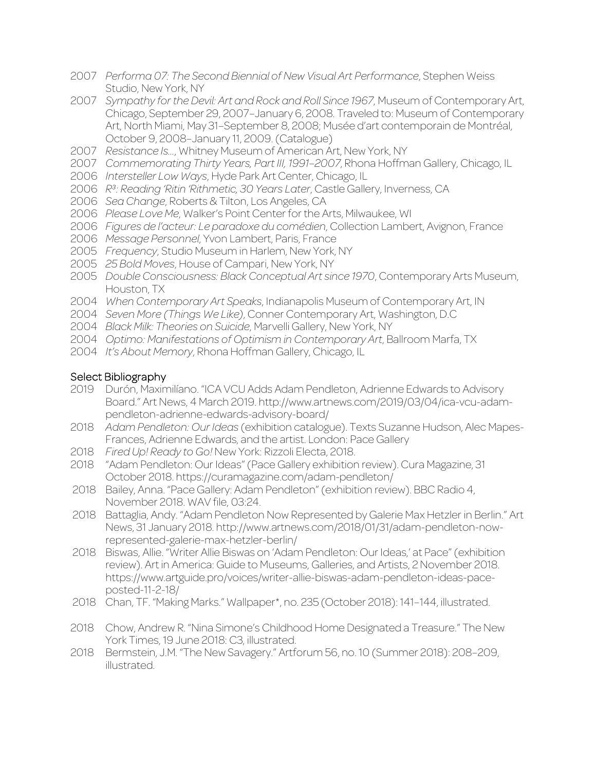- *Performa 07: The Second Biennial of New Visual Art Performance*, Stephen Weiss Studio, New York, NY
- *Sympathy for the Devil: Art and Rock and Roll Since 1967*, Museum of Contemporary Art, Chicago, September 29, 2007–January 6, 2008. Traveled to: Museum of Contemporary Art, North Miami, May 31–September 8, 2008; Musée d'art contemporain de Montréal, October 9, 2008–January 11, 2009. (Catalogue)
- *Resistance Is…*, Whitney Museum of American Art, New York, NY
- *Commemorating Thirty Years, Part III, 1991–2007*, Rhona Hoffman Gallery, Chicago, IL
- *Intersteller Low Ways*, Hyde Park Art Center, Chicago, IL
- *R³: Reading 'Ritin 'Rithmetic, 30 Years Later*, Castle Gallery, Inverness, CA
- *Sea Change*, Roberts & Tilton, Los Angeles, CA
- *Please Love Me*, Walker's Point Center for the Arts, Milwaukee, WI
- *Figures de l'acteur: Le paradoxe du comédien*, Collection Lambert, Avignon, France
- *Message Personnel*, Yvon Lambert, Paris, France
- *Frequency*, Studio Museum in Harlem, New York, NY
- *25 Bold Moves*, House of Campari, New York, NY
- *Double Consciousness: Black Conceptual Art since 1970*, Contemporary Arts Museum, Houston, TX
- *When Contemporary Art Speaks*, Indianapolis Museum of Contemporary Art, IN
- *Seven More (Things We Like)*, Conner Contemporary Art, Washington, D.C
- *Black Milk: Theories on Suicide*, Marvelli Gallery, New York, NY
- *Optimo: Manifestations of Optimism in Contemporary Art*, Ballroom Marfa, TX
- *It's About Memory*, Rhona Hoffman Gallery, Chicago, IL

### Select Bibliography

- Durón, Maximilíano. "ICA VCU Adds Adam Pendleton, Adrienne Edwards to Advisory Board." Art News, 4 March 2019. http://www.artnews.com/2019/03/04/ica-vcu-adampendleton-adrienne-edwards-advisory-board/
- *Adam Pendleton: Our Ideas* (exhibition catalogue). Texts Suzanne Hudson, Alec Mapes-Frances, Adrienne Edwards, and the artist. London: Pace Gallery
- *Fired Up! Ready to Go!* New York: Rizzoli Electa, 2018.
- "Adam Pendleton: Our Ideas" (Pace Gallery exhibition review). Cura Magazine, 31 October 2018. https://curamagazine.com/adam-pendleton/
- Bailey, Anna. "Pace Gallery: Adam Pendleton" (exhibition review). BBC Radio 4, November 2018. WAV file, 03:24.
- Battaglia, Andy. "Adam Pendleton Now Represented by Galerie Max Hetzler in Berlin." Art News, 31 January 2018. http://www.artnews.com/2018/01/31/adam-pendleton-nowrepresented-galerie-max-hetzler-berlin/
- Biswas, Allie. "Writer Allie Biswas on 'Adam Pendleton: Our Ideas,' at Pace" (exhibition review). Art in America: Guide to Museums, Galleries, and Artists, 2 November 2018. https://www.artguide.pro/voices/writer-allie-biswas-adam-pendleton-ideas-paceposted-11-2-18/
- Chan, TF. "Making Marks." Wallpaper\*, no. 235 (October 2018): 141–144, illustrated.
- Chow, Andrew R. "Nina Simone's Childhood Home Designated a Treasure." The New York Times, 19 June 2018: C3, illustrated.
- Bermstein, J.M. "The New Savagery." Artforum 56, no. 10 (Summer 2018): 208–209, illustrated.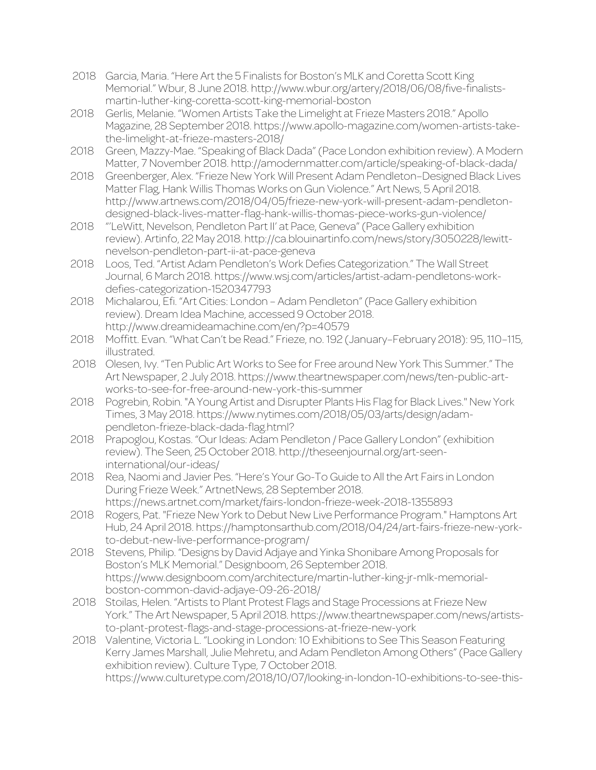- 2018 Garcia, Maria. "Here Art the 5 Finalists for Boston's MLK and Coretta Scott King Memorial." Wbur, 8 June 2018. http://www.wbur.org/artery/2018/06/08/five-finalistsmartin-luther-king-coretta-scott-king-memorial-boston
- 2018 Gerlis, Melanie. "Women Artists Take the Limelight at Frieze Masters 2018." Apollo Magazine, 28 September 2018. https://www.apollo-magazine.com/women-artists-takethe-limelight-at-frieze-masters-2018/
- 2018 Green, Mazzy-Mae. "Speaking of Black Dada" (Pace London exhibition review). A Modern Matter, 7 November 2018. http://amodernmatter.com/article/speaking-of-black-dada/
- 2018 Greenberger, Alex. "Frieze New York Will Present Adam Pendleton–Designed Black Lives Matter Flag, Hank Willis Thomas Works on Gun Violence." Art News, 5 April 2018. http://www.artnews.com/2018/04/05/frieze-new-york-will-present-adam-pendletondesigned-black-lives-matter-flag-hank-willis-thomas-piece-works-gun-violence/
- 2018 "'LeWitt, Nevelson, Pendleton Part II' at Pace, Geneva" (Pace Gallery exhibition review). Artinfo, 22 May 2018. http://ca.blouinartinfo.com/news/story/3050228/lewittnevelson-pendleton-part-ii-at-pace-geneva
- 2018 Loos, Ted. "Artist Adam Pendleton's Work Defies Categorization." The Wall Street Journal, 6 March 2018. https://www.wsj.com/articles/artist-adam-pendletons-workdefies-categorization-1520347793
- 2018 Michalarou, Efi. "Art Cities: London Adam Pendleton" (Pace Gallery exhibition review). Dream Idea Machine, accessed 9 October 2018. http://www.dreamideamachine.com/en/?p=40579
- 2018 Moffitt. Evan. "What Can't be Read." Frieze, no. 192 (January–February 2018): 95, 110–115, illustrated.
- 2018 Olesen, Ivy. "Ten Public Art Works to See for Free around New York This Summer." The Art Newspaper, 2 July 2018. https://www.theartnewspaper.com/news/ten-public-artworks-to-see-for-free-around-new-york-this-summer
- 2018 Pogrebin, Robin. "A Young Artist and Disrupter Plants His Flag for Black Lives." New York Times, 3 May 2018. https://www.nytimes.com/2018/05/03/arts/design/adampendleton-frieze-black-dada-flag.html?
- 2018 Prapoglou, Kostas. "Our Ideas: Adam Pendleton / Pace Gallery London" (exhibition review). The Seen, 25 October 2018. http://theseenjournal.org/art-seeninternational/our-ideas/
- 2018 Rea, Naomi and Javier Pes. "Here's Your Go-To Guide to All the Art Fairs in London During Frieze Week." ArtnetNews, 28 September 2018. https://news.artnet.com/market/fairs-london-frieze-week-2018-1355893
- 2018 Rogers, Pat. "Frieze New York to Debut New Live Performance Program." Hamptons Art Hub, 24 April 2018. https://hamptonsarthub.com/2018/04/24/art-fairs-frieze-new-yorkto-debut-new-live-performance-program/
- 2018 Stevens, Philip. "Designs by David Adjaye and Yinka Shonibare Among Proposals for Boston's MLK Memorial." Designboom, 26 September 2018. https://www.designboom.com/architecture/martin-luther-king-jr-mlk-memorialboston-common-david-adjaye-09-26-2018/
- 2018 Stoilas, Helen. "Artists to Plant Protest Flags and Stage Processions at Frieze New York." The Art Newspaper, 5 April 2018. https://www.theartnewspaper.com/news/artiststo-plant-protest-flags-and-stage-processions-at-frieze-new-york
- 2018 Valentine, Victoria L. "Looking in London: 10 Exhibitions to See This Season Featuring Kerry James Marshall, Julie Mehretu, and Adam Pendleton Among Others" (Pace Gallery exhibition review). Culture Type, 7 October 2018. https://www.culturetype.com/2018/10/07/looking-in-london-10-exhibitions-to-see-this-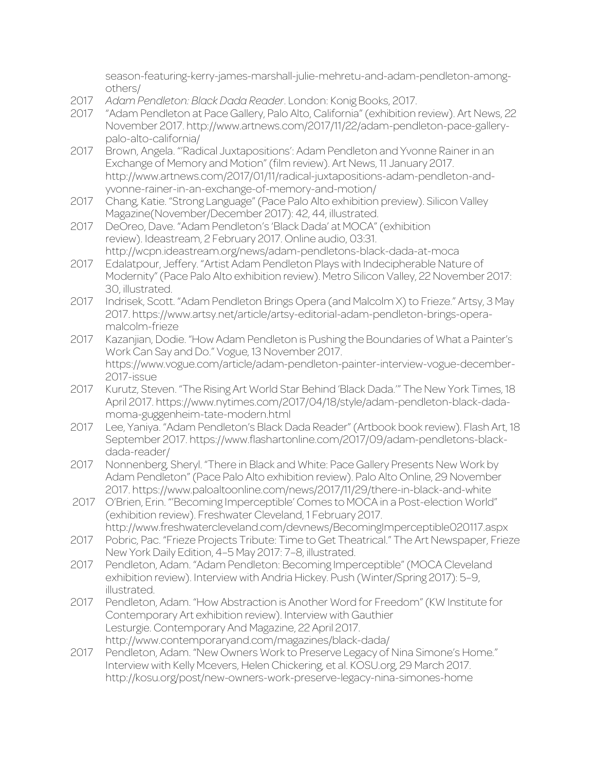season-featuring-kerry-james-marshall-julie-mehretu-and-adam-pendleton-amongothers/

- 2017 *Adam Pendleton: Black Dada Reader*. London: Konig Books, 2017.
- 2017 "Adam Pendleton at Pace Gallery, Palo Alto, California" (exhibition review). Art News, 22 November 2017. http://www.artnews.com/2017/11/22/adam-pendleton-pace-gallerypalo-alto-california/
- 2017 Brown, Angela. "'Radical Juxtapositions': Adam Pendleton and Yvonne Rainer in an Exchange of Memory and Motion" (film review). Art News, 11 January 2017. http://www.artnews.com/2017/01/11/radical-juxtapositions-adam-pendleton-andyvonne-rainer-in-an-exchange-of-memory-and-motion/
- 2017 Chang, Katie. "Strong Language" (Pace Palo Alto exhibition preview). Silicon Valley Magazine(November/December 2017): 42, 44, illustrated.
- 2017 DeOreo, Dave. "Adam Pendleton's 'Black Dada' at MOCA" (exhibition review). Ideastream, 2 February 2017. Online audio, 03:31. http://wcpn.ideastream.org/news/adam-pendletons-black-dada-at-moca
- 2017 Edalatpour, Jeffery. "Artist Adam Pendleton Plays with Indecipherable Nature of Modernity" (Pace Palo Alto exhibition review). Metro Silicon Valley, 22 November 2017: 30, illustrated.
- 2017 Indrisek, Scott. "Adam Pendleton Brings Opera (and Malcolm X) to Frieze." Artsy, 3 May 2017. https://www.artsy.net/article/artsy-editorial-adam-pendleton-brings-operamalcolm-frieze
- 2017 Kazanjian, Dodie. "How Adam Pendleton is Pushing the Boundaries of What a Painter's Work Can Say and Do." Vogue, 13 November 2017. https://www.vogue.com/article/adam-pendleton-painter-interview-vogue-december-2017-issue
- 2017 Kurutz, Steven. "The Rising Art World Star Behind 'Black Dada.'" The New York Times, 18 April 2017. https://www.nytimes.com/2017/04/18/style/adam-pendleton-black-dadamoma-guggenheim-tate-modern.html
- 2017 Lee, Yaniya. "Adam Pendleton's Black Dada Reader" (Artbook book review). Flash Art, 18 September 2017. https://www.flashartonline.com/2017/09/adam-pendletons-blackdada-reader/
- 2017 Nonnenberg, Sheryl. "There in Black and White: Pace Gallery Presents New Work by Adam Pendleton" (Pace Palo Alto exhibition review). Palo Alto Online, 29 November 2017. https://www.paloaltoonline.com/news/2017/11/29/there-in-black-and-white
- 2017 O'Brien, Erin. "'Becoming Imperceptible' Comes to MOCA in a Post-election World" (exhibition review). Freshwater Cleveland, 1 February 2017.
	- http://www.freshwatercleveland.com/devnews/BecomingImperceptible020117.aspx
- 2017 Pobric, Pac. "Frieze Projects Tribute: Time to Get Theatrical." The Art Newspaper, Frieze New York Daily Edition, 4–5 May 2017: 7–8, illustrated.
- 2017 Pendleton, Adam. "Adam Pendleton: Becoming Imperceptible" (MOCA Cleveland exhibition review). Interview with Andria Hickey. Push (Winter/Spring 2017): 5–9, illustrated.
- 2017 Pendleton, Adam. "How Abstraction is Another Word for Freedom" (KW Institute for Contemporary Art exhibition review). Interview with Gauthier Lesturgie. Contemporary And Magazine, 22 April 2017. http://www.contemporaryand.com/magazines/black-dada/
- 2017 Pendleton, Adam. "New Owners Work to Preserve Legacy of Nina Simone's Home." Interview with Kelly Mcevers, Helen Chickering, et al. KOSU.org, 29 March 2017. http://kosu.org/post/new-owners-work-preserve-legacy-nina-simones-home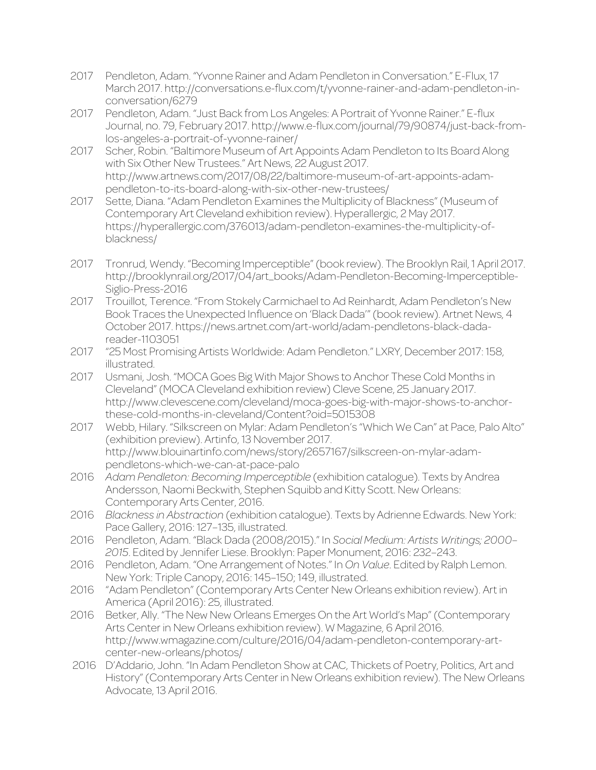- 2017 Pendleton, Adam. "Yvonne Rainer and Adam Pendleton in Conversation." E-Flux, 17 March 2017. http://conversations.e-flux.com/t/yvonne-rainer-and-adam-pendleton-inconversation/6279
- 2017 Pendleton, Adam. "Just Back from Los Angeles: A Portrait of Yvonne Rainer." E-flux Journal, no. 79, February 2017. http://www.e-flux.com/journal/79/90874/just-back-fromlos-angeles-a-portrait-of-yvonne-rainer/
- 2017 Scher, Robin. "Baltimore Museum of Art Appoints Adam Pendleton to Its Board Along with Six Other New Trustees." Art News, 22 August 2017. http://www.artnews.com/2017/08/22/baltimore-museum-of-art-appoints-adampendleton-to-its-board-along-with-six-other-new-trustees/
- 2017 Sette, Diana. "Adam Pendleton Examines the Multiplicity of Blackness" (Museum of Contemporary Art Cleveland exhibition review). Hyperallergic, 2 May 2017. https://hyperallergic.com/376013/adam-pendleton-examines-the-multiplicity-ofblackness/
- 2017 Tronrud, Wendy. "Becoming Imperceptible" (book review). The Brooklyn Rail, 1 April 2017. http://brooklynrail.org/2017/04/art\_books/Adam-Pendleton-Becoming-Imperceptible-Siglio-Press-2016
- 2017 Trouillot, Terence. "From Stokely Carmichael to Ad Reinhardt, Adam Pendleton's New Book Traces the Unexpected Influence on 'Black Dada'" (book review). Artnet News, 4 October 2017. https://news.artnet.com/art-world/adam-pendletons-black-dadareader-1103051
- 2017 "25 Most Promising Artists Worldwide: Adam Pendleton." LXRY, December 2017: 158, illustrated.
- 2017 Usmani, Josh. "MOCA Goes Big With Major Shows to Anchor These Cold Months in Cleveland" (MOCA Cleveland exhibition review) Cleve Scene, 25 January 2017. http://www.clevescene.com/cleveland/moca-goes-big-with-major-shows-to-anchorthese-cold-months-in-cleveland/Content?oid=5015308
- 2017 Webb, Hilary. "Silkscreen on Mylar: Adam Pendleton's "Which We Can" at Pace, Palo Alto" (exhibition preview). Artinfo, 13 November 2017. http://www.blouinartinfo.com/news/story/2657167/silkscreen-on-mylar-adampendletons-which-we-can-at-pace-palo
- 2016 *Adam Pendleton: Becoming Imperceptible* (exhibition catalogue). Texts by Andrea Andersson, Naomi Beckwith, Stephen Squibb and Kitty Scott. New Orleans: Contemporary Arts Center, 2016.
- 2016 *Blackness in Abstraction* (exhibition catalogue). Texts by Adrienne Edwards. New York: Pace Gallery, 2016: 127-135, illustrated.
- 2016 Pendleton, Adam. "Black Dada (2008/2015)." In *Social Medium: Artists Writings; 2000– 2015*. Edited by Jennifer Liese. Brooklyn: Paper Monument, 2016: 232–243.
- 2016 Pendleton, Adam. "One Arrangement of Notes." In *On Value*. Edited by Ralph Lemon. New York: Triple Canopy, 2016: 145–150; 149, illustrated.
- 2016 "Adam Pendleton" (Contemporary Arts Center New Orleans exhibition review). Art in America (April 2016): 25, illustrated.
- 2016 Betker, Ally. "The New New Orleans Emerges On the Art World's Map" (Contemporary Arts Center in New Orleans exhibition review). W Magazine, 6 April 2016. http://www.wmagazine.com/culture/2016/04/adam-pendleton-contemporary-artcenter-new-orleans/photos/
- 2016 D'Addario, John. "In Adam Pendleton Show at CAC, Thickets of Poetry, Politics, Art and History" (Contemporary Arts Center in New Orleans exhibition review). The New Orleans Advocate, 13 April 2016.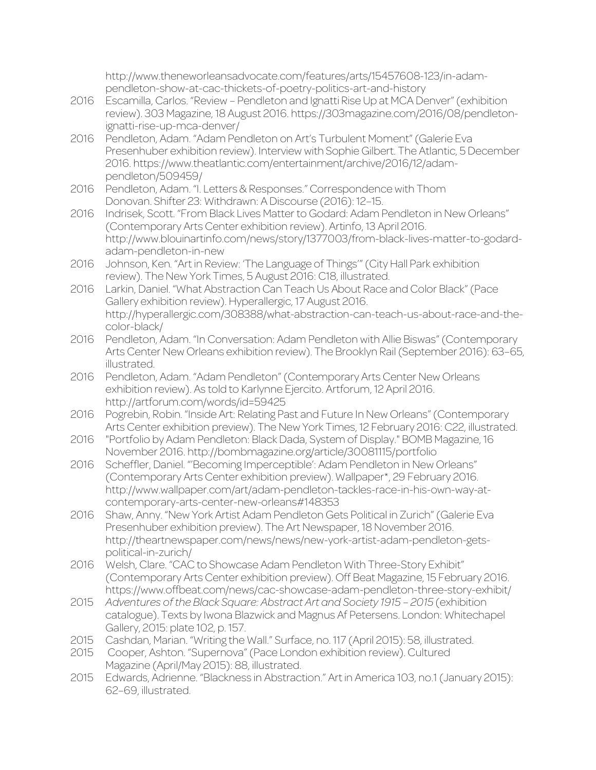http://www.theneworleansadvocate.com/features/arts/15457608-123/in-adampendleton-show-at-cac-thickets-of-poetry-politics-art-and-history

- 2016 Escamilla, Carlos. "Review Pendleton and Ignatti Rise Up at MCA Denver" (exhibition review). 303 Magazine, 18 August 2016. https://303magazine.com/2016/08/pendletonignatti-rise-up-mca-denver/
- 2016 Pendleton, Adam. "Adam Pendleton on Art's Turbulent Moment" (Galerie Eva Presenhuber exhibition review). Interview with Sophie Gilbert. The Atlantic, 5 December 2016. https://www.theatlantic.com/entertainment/archive/2016/12/adampendleton/509459/
- 2016 Pendleton, Adam. "I. Letters & Responses." Correspondence with Thom Donovan. Shifter 23: Withdrawn: A Discourse (2016): 12–15.
- 2016 Indrisek, Scott. "From Black Lives Matter to Godard: Adam Pendleton in New Orleans" (Contemporary Arts Center exhibition review). Artinfo, 13 April 2016. http://www.blouinartinfo.com/news/story/1377003/from-black-lives-matter-to-godardadam-pendleton-in-new
- 2016 Johnson, Ken. "Art in Review: 'The Language of Things'" (City Hall Park exhibition review). The New York Times, 5 August 2016: C18, illustrated.
- 2016 Larkin, Daniel. "What Abstraction Can Teach Us About Race and Color Black" (Pace Gallery exhibition review). Hyperallergic, 17 August 2016. http://hyperallergic.com/308388/what-abstraction-can-teach-us-about-race-and-thecolor-black/
- 2016 Pendleton, Adam. "In Conversation: Adam Pendleton with Allie Biswas" (Contemporary Arts Center New Orleans exhibition review). The Brooklyn Rail (September 2016): 63–65, illustrated.
- 2016 Pendleton, Adam. "Adam Pendleton" (Contemporary Arts Center New Orleans exhibition review). As told to Karlynne Ejercito. Artforum, 12 April 2016. http://artforum.com/words/id=59425
- 2016 Pogrebin, Robin. "Inside Art: Relating Past and Future In New Orleans" (Contemporary Arts Center exhibition preview). The New York Times, 12 February 2016: C22, illustrated.
- 2016 "Portfolio by Adam Pendleton: Black Dada, System of Display." BOMB Magazine, 16 November 2016. http://bombmagazine.org/article/30081115/portfolio
- 2016 Scheffler, Daniel. "'Becoming Imperceptible': Adam Pendleton in New Orleans" (Contemporary Arts Center exhibition preview). Wallpaper\*, 29 February 2016. http://www.wallpaper.com/art/adam-pendleton-tackles-race-in-his-own-way-atcontemporary-arts-center-new-orleans#148353
- 2016 Shaw, Anny. "New York Artist Adam Pendleton Gets Political in Zurich" (Galerie Eva Presenhuber exhibition preview). The Art Newspaper, 18 November 2016. http://theartnewspaper.com/news/news/new-york-artist-adam-pendleton-getspolitical-in-zurich/
- 2016 Welsh, Clare. "CAC to Showcase Adam Pendleton With Three-Story Exhibit" (Contemporary Arts Center exhibition preview). Off Beat Magazine, 15 February 2016. https://www.offbeat.com/news/cac-showcase-adam-pendleton-three-story-exhibit/
- 2015 *Adventures of the Black Square: Abstract Art and Society 1915 – 2015* (exhibition catalogue). Texts by Iwona Blazwick and Magnus Af Petersens. London: Whitechapel Gallery, 2015: plate 102, p. 157.
- 2015 Cashdan, Marian. "Writing the Wall." Surface, no. 117 (April 2015): 58, illustrated.
- 2015 Cooper, Ashton. "Supernova" (Pace London exhibition review). Cultured Magazine (April/May 2015): 88, illustrated.
- 2015 Edwards, Adrienne. "Blackness in Abstraction." Art in America 103, no.1 (January 2015): 62–69, illustrated.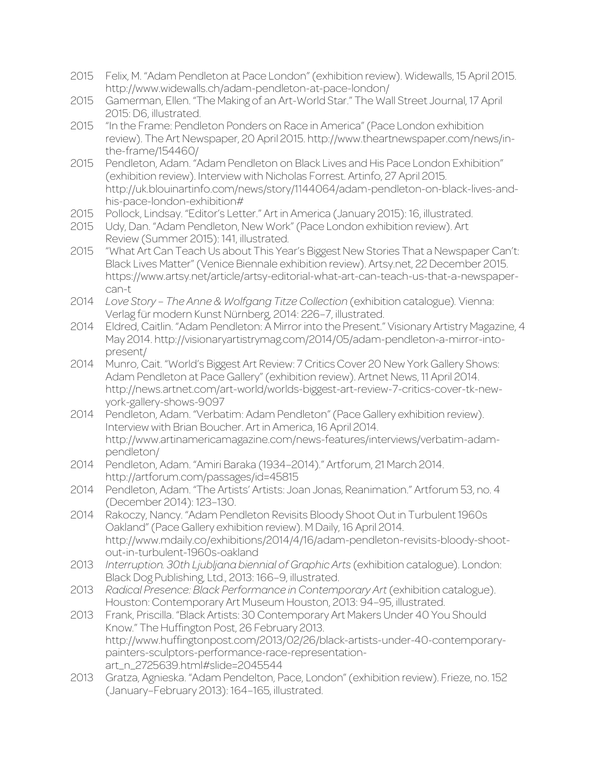- 2015 Felix, M. "Adam Pendleton at Pace London" (exhibition review). Widewalls, 15 April 2015. http://www.widewalls.ch/adam-pendleton-at-pace-london/
- 2015 Gamerman, Ellen. "The Making of an Art-World Star." The Wall Street Journal, 17 April 2015: D6, illustrated.
- 2015 "In the Frame: Pendleton Ponders on Race in America" (Pace London exhibition review). The Art Newspaper, 20 April 2015. http://www.theartnewspaper.com/news/inthe-frame/154460/
- 2015 Pendleton, Adam. "Adam Pendleton on Black Lives and His Pace London Exhibition" (exhibition review). Interview with Nicholas Forrest. Artinfo, 27 April 2015. http://uk.blouinartinfo.com/news/story/1144064/adam-pendleton-on-black-lives-andhis-pace-london-exhibition#
- 2015 Pollock, Lindsay. "Editor's Letter." Art in America (January 2015): 16, illustrated.
- 2015 Udy, Dan. "Adam Pendleton, New Work" (Pace London exhibition review). Art Review (Summer 2015): 141, illustrated.
- 2015 "What Art Can Teach Us about This Year's Biggest New Stories That a Newspaper Can't: Black Lives Matter" (Venice Biennale exhibition review). Artsy.net, 22 December 2015. https://www.artsy.net/article/artsy-editorial-what-art-can-teach-us-that-a-newspapercan-t
- 2014 *Love Story – The Anne & Wolfgang Titze Collection* (exhibition catalogue)*.* Vienna: Verlag für modern Kunst Nürnberg, 2014: 226–7, illustrated.
- 2014 Eldred, Caitlin. "Adam Pendleton: A Mirror into the Present." Visionary Artistry Magazine, 4 May 2014. http://visionaryartistrymag.com/2014/05/adam-pendleton-a-mirror-intopresent/
- 2014 Munro, Cait. "World's Biggest Art Review: 7 Critics Cover 20 New York Gallery Shows: Adam Pendleton at Pace Gallery" (exhibition review). Artnet News, 11 April 2014. http://news.artnet.com/art-world/worlds-biggest-art-review-7-critics-cover-tk-newyork-gallery-shows-9097
- 2014 Pendleton, Adam. "Verbatim: Adam Pendleton" (Pace Gallery exhibition review). Interview with Brian Boucher. Art in America, 16 April 2014. http://www.artinamericamagazine.com/news-features/interviews/verbatim-adampendleton/
- 2014 Pendleton, Adam. "Amiri Baraka (1934–2014)." Artforum, 21 March 2014. http://artforum.com/passages/id=45815
- 2014 Pendleton, Adam. "The Artists' Artists: Joan Jonas, Reanimation." Artforum 53, no. 4 (December 2014): 123–130.
- 2014 Rakoczy, Nancy. "Adam Pendleton Revisits Bloody Shoot Out in Turbulent 1960s Oakland" (Pace Gallery exhibition review). M Daily, 16 April 2014. http://www.mdaily.co/exhibitions/2014/4/16/adam-pendleton-revisits-bloody-shootout-in-turbulent-1960s-oakland
- 2013 *Interruption. 30th Ljubljana biennial of Graphic Arts* (exhibition catalogue). London: Black Dog Publishing, Ltd., 2013: 166–9, illustrated.
- 2013 *Radical Presence: Black Performance in Contemporary Art* (exhibition catalogue). Houston: Contemporary Art Museum Houston, 2013: 94–95, illustrated.
- 2013 Frank, Priscilla. "Black Artists: 30 Contemporary Art Makers Under 40 You Should Know." The Huffington Post, 26 February 2013. http://www.huffingtonpost.com/2013/02/26/black-artists-under-40-contemporarypainters-sculptors-performance-race-representationart\_n\_2725639.html#slide=2045544
- 2013 Gratza, Agnieska. "Adam Pendelton, Pace, London" (exhibition review). Frieze, no. 152 (January–February 2013): 164–165, illustrated.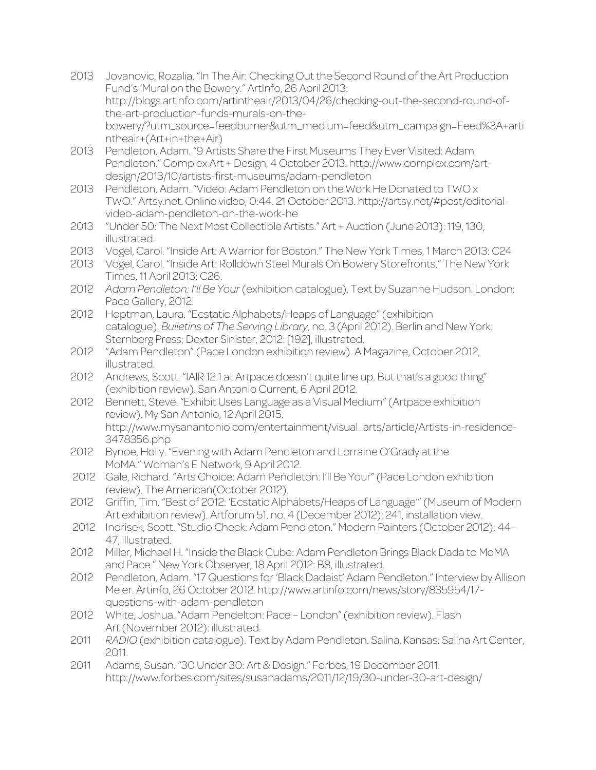- 2013 Jovanovic, Rozalia. "In The Air: Checking Out the Second Round of the Art Production Fund's 'Mural on the Bowery." ArtInfo, 26 April 2013: http://blogs.artinfo.com/artintheair/2013/04/26/checking-out-the-second-round-ofthe-art-production-funds-murals-on-thebowery/?utm\_source=feedburner&utm\_medium=feed&utm\_campaign=Feed%3A+arti ntheair+(Art+in+the+Air)
- 2013 Pendleton, Adam. "9 Artists Share the First Museums They Ever Visited: Adam Pendleton." Complex Art + Design, 4 October 2013. http://www.complex.com/artdesign/2013/10/artists-first-museums/adam-pendleton
- 2013 Pendleton, Adam. "Video: Adam Pendleton on the Work He Donated to TWO x TWO." Artsy.net. Online video, 0:44. 21 October 2013. http://artsy.net/#post/editorialvideo-adam-pendleton-on-the-work-he
- 2013 "Under 50: The Next Most Collectible Artists." Art + Auction (June 2013): 119, 130, illustrated.
- 2013 Vogel, Carol. "Inside Art: A Warrior for Boston." The New York Times, 1 March 2013: C24
- 2013 Vogel, Carol. "Inside Art: Rolldown Steel Murals On Bowery Storefronts." The New York Times, 11 April 2013: C26.
- 2012 *Adam Pendleton: I'll Be Your* (exhibition catalogue). Text by Suzanne Hudson. London: Pace Gallery, 2012.
- 2012 Hoptman, Laura. "Ecstatic Alphabets/Heaps of Language" (exhibition catalogue). *Bulletins of The Serving Library*, no. 3 (April 2012). Berlin and New York: Sternberg Press; Dexter Sinister, 2012: [192], illustrated.
- 2012 "Adam Pendleton" (Pace London exhibition review). A Magazine, October 2012, illustrated.
- 2012 Andrews, Scott. "IAIR 12.1 at Artpace doesn't quite line up. But that's a good thing" (exhibition review). San Antonio Current, 6 April 2012.
- 2012 Bennett, Steve. "Exhibit Uses Language as a Visual Medium" (Artpace exhibition review). My San Antonio, 12 April 2015. http://www.mysanantonio.com/entertainment/visual\_arts/article/Artists-in-residence-3478356.php
- 2012 Bynoe, Holly. "Evening with Adam Pendleton and Lorraine O'Grady at the MoMA." Woman's E Network, 9 April 2012.
- 2012 Gale, Richard. "Arts Choice: Adam Pendleton: I'll Be Your" (Pace London exhibition review). The American(October 2012).
- 2012 Griffin, Tim. "Best of 2012: 'Ecstatic Alphabets/Heaps of Language'" (Museum of Modern Art exhibition review). Artforum 51, no. 4 (December 2012): 241, installation view.
- 2012 Indrisek, Scott. "Studio Check: Adam Pendleton." Modern Painters (October 2012): 44– 47, illustrated.
- 2012 Miller, Michael H. "Inside the Black Cube: Adam Pendleton Brings Black Dada to MoMA and Pace." New York Observer, 18 April 2012: B8, illustrated.
- 2012 Pendleton, Adam. "17 Questions for 'Black Dadaist' Adam Pendleton." Interview by Allison Meier. Artinfo, 26 October 2012. http://www.artinfo.com/news/story/835954/17 questions-with-adam-pendleton
- 2012 White, Joshua. "Adam Pendelton: Pace London" (exhibition review). Flash Art (November 2012): illustrated.
- 2011 *RADIO* (exhibition catalogue). Text by Adam Pendleton. Salina, Kansas: Salina Art Center, 2011.
- 2011 Adams, Susan. "30 Under 30: Art & Design." Forbes, 19 December 2011. http://www.forbes.com/sites/susanadams/2011/12/19/30-under-30-art-design/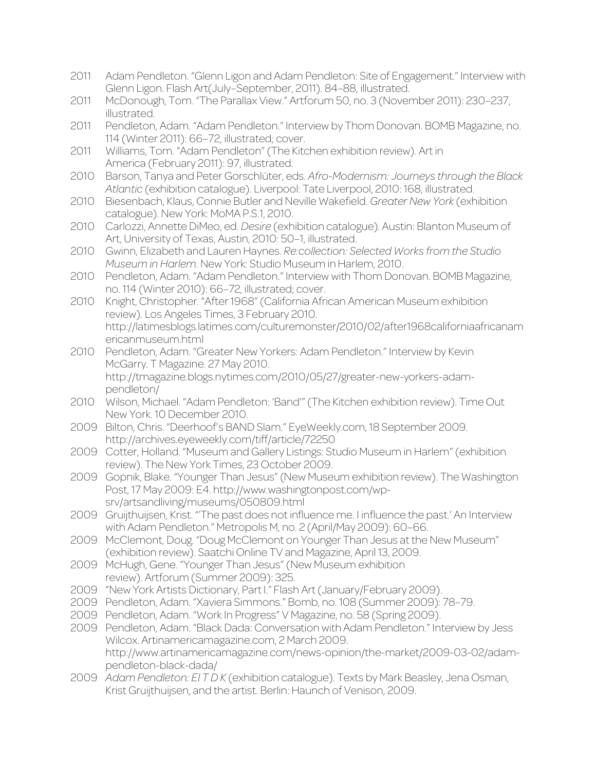- 2011 Adam Pendleton. "Glenn Ligon and Adam Pendleton: Site of Engagement." Interview with Glenn Ligon. Flash Art(July–September, 2011). 84–88, illustrated.
- 2011 McDonough, Tom. "The Parallax View." Artforum 50, no. 3 (November 2011): 230–237, illustrated.
- 2011 Pendleton, Adam. "Adam Pendleton." Interview by Thom Donovan. BOMB Magazine, no. 114 (Winter 2011): 66–72, illustrated; cover.
- 2011 Williams, Tom. "Adam Pendleton" (The Kitchen exhibition review). Art in America (February 2011): 97, illustrated.
- 2010 Barson, Tanya and Peter Gorschlüter, eds. *Afro-Modernism: Journeys through the Black Atlantic* (exhibition catalogue). Liverpool: Tate Liverpool, 2010: 168, illustrated.
- 2010 Biesenbach, Klaus, Connie Butler and Neville Wakefield. *Greater New York* (exhibition catalogue). New York: MoMA P.S.1, 2010.
- 2010 Carlozzi, Annette DiMeo, ed. *Desire* (exhibition catalogue). Austin: Blanton Museum of Art, University of Texas, Austin, 2010: 50–1, illustrated.
- 2010 Gwinn, Elizabeth and Lauren Haynes. *Re:collection: Selected Works from the Studio Museum in Harlem*. New York: Studio Museum in Harlem, 2010.
- 2010 Pendleton, Adam. "Adam Pendleton." Interview with Thom Donovan. BOMB Magazine, no. 114 (Winter 2010): 66–72, illustrated; cover.
- 2010 Knight, Christopher. "After 1968" (California African American Museum exhibition review). Los Angeles Times, 3 February 2010. http://latimesblogs.latimes.com/culturemonster/2010/02/after1968californiaafricanam ericanmuseum.html
- 2010 Pendleton, Adam. "Greater New Yorkers: Adam Pendleton." Interview by Kevin McGarry. T Magazine. 27 May 2010. http://tmagazine.blogs.nytimes.com/2010/05/27/greater-new-yorkers-adampendleton/
- 2010 Wilson, Michael. "Adam Pendleton: 'Band'" (The Kitchen exhibition review). Time Out New York. 10 December 2010.
- 2009 Bilton, Chris. "Deerhoof's BAND Slam." EyeWeekly.com, 18 September 2009. http://archives.eyeweekly.com/tiff/article/72250
- 2009 Cotter, Holland. "Museum and Gallery Listings: Studio Museum in Harlem" (exhibition review). The New York Times, 23 October 2009.
- 2009 Gopnik, Blake. "Younger Than Jesus" (New Museum exhibition review). The Washington Post, 17 May 2009: E4. http://www.washingtonpost.com/wpsrv/artsandliving/museums/050809.html
- 2009 Gruijthuijsen, Krist. "'The past does not influence me. I influence the past.' An Interview with Adam Pendleton." Metropolis M, no. 2 (April/May 2009): 60–66.
- 2009 McClemont, Doug. "Doug McClemont on Younger Than Jesus at the New Museum" (exhibition review). Saatchi Online TV and Magazine, April 13, 2009.
- 2009 McHugh, Gene. "Younger Than Jesus" (New Museum exhibition review). Artforum (Summer 2009): 325.
- 2009 "New York Artists Dictionary, Part I." Flash Art (January/February 2009).
- 2009 Pendleton, Adam. "Xaviera Simmons." Bomb, no. 108 (Summer 2009): 78–79.
- 2009 Pendleton, Adam. "Work In Progress" V Magazine, no. 58 (Spring 2009).
- 2009 Pendleton, Adam. "Black Dada: Conversation with Adam Pendleton." Interview by Jess Wilcox. Artinamericamagazine.com, 2 March 2009. http://www.artinamericamagazine.com/news-opinion/the-market/2009-03-02/adampendleton-black-dada/
- 2009 *Adam Pendleton: El T D K* (exhibition catalogue). Texts by Mark Beasley, Jena Osman, Krist Gruijthuijsen, and the artist. Berlin: Haunch of Venison, 2009.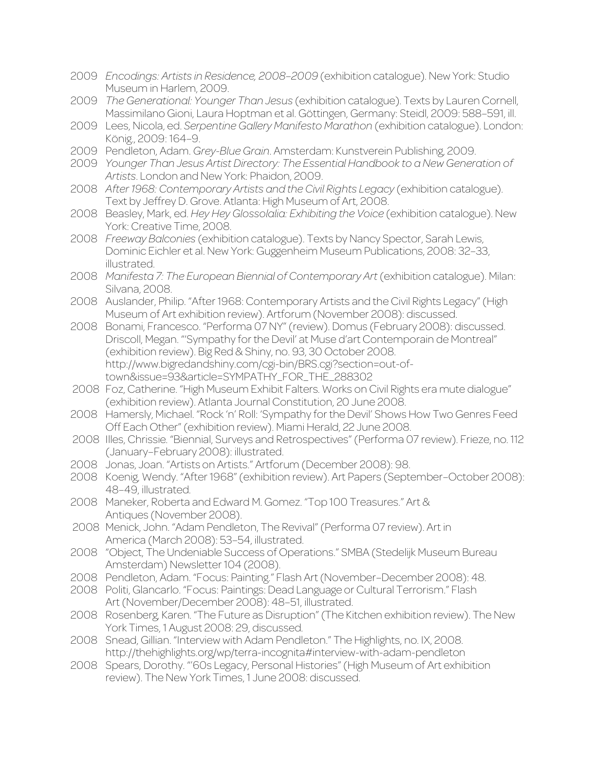2009 *Encodings: Artists in Residence, 2008–2009* (exhibition catalogue). New York: Studio Museum in Harlem, 2009. 2009 *The Generational: Younger Than Jesus* (exhibition catalogue). Texts by Lauren Cornell, Massimilano Gioni, Laura Hoptman et al. Göttingen, Germany: Steidl, 2009: 588–591, ill. 2009 Lees, Nicola, ed. *Serpentine Gallery Manifesto Marathon* (exhibition catalogue). London: König., 2009: 164–9. 2009 Pendleton, Adam. *Grey-Blue Grain*. Amsterdam: Kunstverein Publishing, 2009. 2009 *Younger Than Jesus Artist Directory: The Essential Handbook to a New Generation of Artists*. London and New York: Phaidon, 2009. 2008 *After 1968: Contemporary Artists and the Civil Rights Legacy* (exhibition catalogue). Text by Jeffrey D. Grove. Atlanta: High Museum of Art, 2008. 2008 Beasley, Mark, ed. *Hey Hey Glossolalia: Exhibiting the Voice* (exhibition catalogue). New York: Creative Time, 2008. 2008 *Freeway Balconies* (exhibition catalogue). Texts by Nancy Spector, Sarah Lewis, Dominic Eichler et al. New York: Guggenheim Museum Publications, 2008: 32–33, illustrated. 2008 *Manifesta 7: The European Biennial of Contemporary Art* (exhibition catalogue). Milan: Silvana, 2008. 2008 Auslander, Philip. "After 1968: Contemporary Artists and the Civil Rights Legacy" (High Museum of Art exhibition review). Artforum (November 2008): discussed. 2008 Bonami, Francesco. "Performa 07 NY" (review). Domus (February 2008): discussed. Driscoll, Megan. "'Sympathy for the Devil' at Muse d'art Contemporain de Montreal" (exhibition review). Big Red & Shiny, no. 93, 30 October 2008. http://www.bigredandshiny.com/cgi-bin/BRS.cgi?section=out-oftown&issue=93&article=SYMPATHY\_FOR\_THE\_288302 2008 Foz, Catherine. "High Museum Exhibit Falters. Works on Civil Rights era mute dialogue" (exhibition review). Atlanta Journal Constitution, 20 June 2008. 2008 Hamersly, Michael. "Rock 'n' Roll: 'Sympathy for the Devil' Shows How Two Genres Feed Off Each Other" (exhibition review). Miami Herald, 22 June 2008. 2008 Illes, Chrissie. "Biennial, Surveys and Retrospectives" (Performa 07 review). Frieze, no. 112 (January–February 2008): illustrated. 2008 Jonas, Joan. "Artists on Artists." Artforum (December 2008): 98. 2008 Koenig, Wendy. "After 1968" (exhibition review). Art Papers (September–October 2008): 48–49, illustrated. 2008 Maneker, Roberta and Edward M. Gomez. "Top 100 Treasures." Art & Antiques (November 2008). 2008 Menick, John. "Adam Pendleton, The Revival" (Performa 07 review). Art in America (March 2008): 53–54, illustrated. 2008 "Object, The Undeniable Success of Operations." SMBA (Stedelijk Museum Bureau Amsterdam) Newsletter 104 (2008). 2008 Pendleton, Adam. "Focus: Painting." Flash Art (November–December 2008): 48. 2008 Politi, Glancarlo. "Focus: Paintings: Dead Language or Cultural Terrorism." Flash Art (November/December 2008): 48–51, illustrated. 2008 Rosenberg, Karen. "The Future as Disruption" (The Kitchen exhibition review). The New York Times, 1 August 2008: 29, discussed. 2008 Snead, Gillian. "Interview with Adam Pendleton." The Highlights, no. IX, 2008. http://thehighlights.org/wp/terra-incognita#interview-with-adam-pendleton 2008 Spears, Dorothy. "'60s Legacy, Personal Histories" (High Museum of Art exhibition review). The New York Times, 1 June 2008: discussed.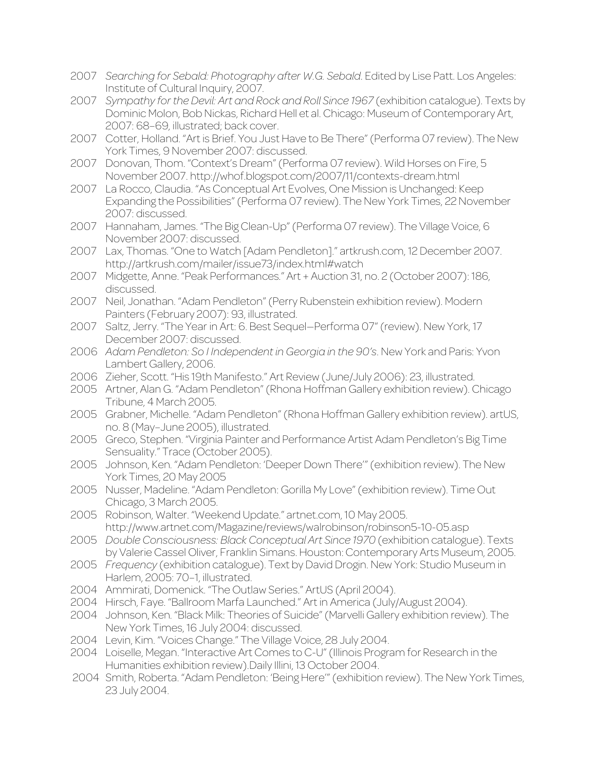- 2007 *Searching for Sebald: Photography after W.G. Sebald*. Edited by Lise Patt. Los Angeles: Institute of Cultural Inquiry, 2007.
- 2007 *Sympathy for the Devil: Art and Rock and Roll Since 1967* (exhibition catalogue). Texts by Dominic Molon, Bob Nickas, Richard Hell et al. Chicago: Museum of Contemporary Art, 2007: 68–69, illustrated; back cover.
- 2007 Cotter, Holland. "Art is Brief. You Just Have to Be There" (Performa 07 review). The New York Times, 9 November 2007: discussed.
- 2007 Donovan, Thom. "Context's Dream" (Performa 07 review). Wild Horses on Fire, 5 November 2007. http://whof.blogspot.com/2007/11/contexts-dream.html
- 2007 La Rocco, Claudia. "As Conceptual Art Evolves, One Mission is Unchanged: Keep Expanding the Possibilities" (Performa 07 review). The New York Times, 22 November 2007: discussed.
- 2007 Hannaham, James. "The Big Clean-Up" (Performa 07 review). The Village Voice, 6 November 2007: discussed.
- 2007 Lax, Thomas. "One to Watch [Adam Pendleton]." artkrush.com, 12 December 2007. http://artkrush.com/mailer/issue73/index.html#watch
- 2007 Midgette, Anne. "Peak Performances." Art + Auction 31, no. 2 (October 2007): 186, discussed.
- 2007 Neil, Jonathan. "Adam Pendleton" (Perry Rubenstein exhibition review). Modern Painters (February 2007): 93, illustrated.
- 2007 Saltz, Jerry. "The Year in Art: 6. Best Sequel—Performa 07" (review). New York, 17 December 2007: discussed.
- 2006 *Adam Pendleton: So I Independent in Georgia in the 90's*. New York and Paris: Yvon Lambert Gallery, 2006.
- 2006 Zieher, Scott. "His 19th Manifesto." Art Review (June/July 2006): 23, illustrated.
- 2005 Artner, Alan G. "Adam Pendleton" (Rhona Hoffman Gallery exhibition review). Chicago Tribune, 4 March 2005.
- 2005 Grabner, Michelle. "Adam Pendleton" (Rhona Hoffman Gallery exhibition review). artUS, no. 8 (May–June 2005), illustrated.
- 2005 Greco, Stephen. "Virginia Painter and Performance Artist Adam Pendleton's Big Time Sensuality." Trace (October 2005).
- 2005 Johnson, Ken. "Adam Pendleton: 'Deeper Down There'" (exhibition review). The New York Times, 20 May 2005
- 2005 Nusser, Madeline. "Adam Pendleton: Gorilla My Love" (exhibition review). Time Out Chicago, 3 March 2005.
- 2005 Robinson, Walter. "Weekend Update." artnet.com, 10 May 2005. http://www.artnet.com/Magazine/reviews/walrobinson/robinson5-10-05.asp
- 2005 *Double Consciousness: Black Conceptual Art Since 1970* (exhibition catalogue). Texts by Valerie Cassel Oliver, Franklin Simans. Houston: Contemporary Arts Museum, 2005.
- 2005 *Frequency* (exhibition catalogue). Text by David Drogin. New York: Studio Museum in Harlem, 2005: 70-1, illustrated.
- 2004 Ammirati, Domenick. "The Outlaw Series." ArtUS (April 2004).
- 2004 Hirsch, Faye. "Ballroom Marfa Launched." Art in America (July/August 2004).
- 2004 Johnson, Ken. "Black Milk: Theories of Suicide" (Marvelli Gallery exhibition review). The New York Times, 16 July 2004: discussed.
- 2004 Levin, Kim. "Voices Change." The Village Voice, 28 July 2004.
- 2004 Loiselle, Megan. "Interactive Art Comes to C-U" (Illinois Program for Research in the Humanities exhibition review).Daily Illini, 13 October 2004.
- 2004 Smith, Roberta. "Adam Pendleton: 'Being Here'" (exhibition review). The New York Times, 23 July 2004.